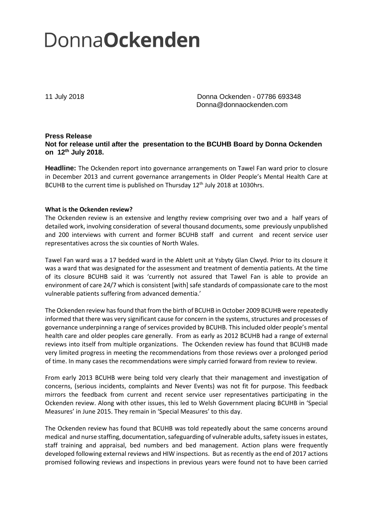## **DonnaOckenden**

11 July 2018 Donna Ockenden - 07786 693348 Donna@donnaockenden.com

## **Press Release Not for release until after the presentation to the BCUHB Board by Donna Ockenden on 12th July 2018.**

**Headline:** The Ockenden report into governance arrangements on Tawel Fan ward prior to closure in December 2013 and current governance arrangements in Older People's Mental Health Care at BCUHB to the current time is published on Thursday 12<sup>th</sup> July 2018 at 1030hrs.

## **What is the Ockenden review?**

The Ockenden review is an extensive and lengthy review comprising over two and a half years of detailed work, involving consideration of several thousand documents, some previously unpublished and 200 interviews with current and former BCUHB staff and current and recent service user representatives across the six counties of North Wales.

Tawel Fan ward was a 17 bedded ward in the Ablett unit at Ysbyty Glan Clwyd. Prior to its closure it was a ward that was designated for the assessment and treatment of dementia patients. At the time of its closure BCUHB said it was 'currently not assured that Tawel Fan is able to provide an environment of care 24/7 which is consistent [with] safe standards of compassionate care to the most vulnerable patients suffering from advanced dementia.'

The Ockenden review has found that from the birth of BCUHB in October 2009 BCUHB were repeatedly informed that there was very significant cause for concern in the systems, structures and processes of governance underpinning a range of services provided by BCUHB. This included older people's mental health care and older peoples care generally. From as early as 2012 BCUHB had a range of external reviews into itself from multiple organizations. The Ockenden review has found that BCUHB made very limited progress in meeting the recommendations from those reviews over a prolonged period of time. In many cases the recommendations were simply carried forward from review to review.

From early 2013 BCUHB were being told very clearly that their management and investigation of concerns, (serious incidents, complaints and Never Events) was not fit for purpose. This feedback mirrors the feedback from current and recent service user representatives participating in the Ockenden review. Along with other issues, this led to Welsh Government placing BCUHB in 'Special Measures' in June 2015. They remain in 'Special Measures' to this day.

The Ockenden review has found that BCUHB was told repeatedly about the same concerns around medical and nurse staffing, documentation, safeguarding of vulnerable adults, safety issues in estates, staff training and appraisal, bed numbers and bed management. Action plans were frequently developed following external reviews and HIW inspections. But as recently as the end of 2017 actions promised following reviews and inspections in previous years were found not to have been carried